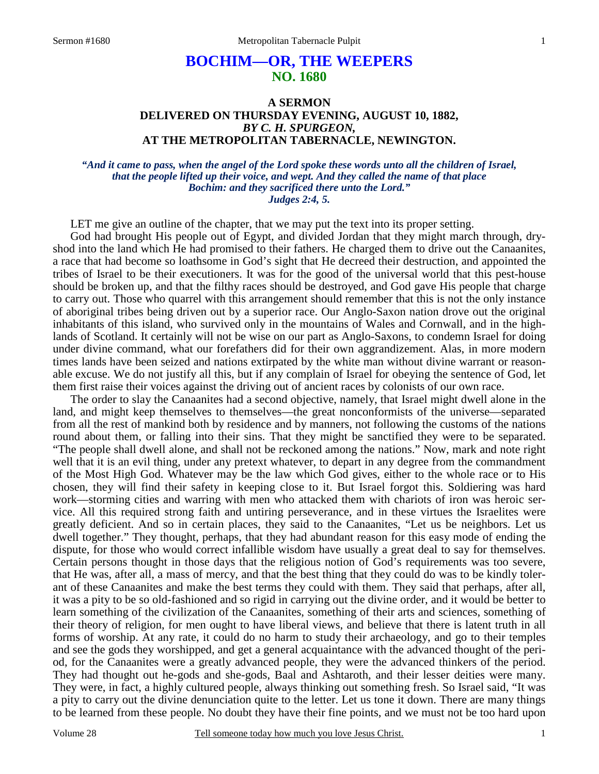# **BOCHIM—OR, THE WEEPERS NO. 1680**

### **A SERMON DELIVERED ON THURSDAY EVENING, AUGUST 10, 1882,**  *BY C. H. SPURGEON,*  **AT THE METROPOLITAN TABERNACLE, NEWINGTON.**

#### *"And it came to pass, when the angel of the Lord spoke these words unto all the children of Israel, that the people lifted up their voice, and wept. And they called the name of that place Bochim: and they sacrificed there unto the Lord." Judges 2:4, 5.*

LET me give an outline of the chapter, that we may put the text into its proper setting.

 God had brought His people out of Egypt, and divided Jordan that they might march through, dryshod into the land which He had promised to their fathers. He charged them to drive out the Canaanites, a race that had become so loathsome in God's sight that He decreed their destruction, and appointed the tribes of Israel to be their executioners. It was for the good of the universal world that this pest-house should be broken up, and that the filthy races should be destroyed, and God gave His people that charge to carry out. Those who quarrel with this arrangement should remember that this is not the only instance of aboriginal tribes being driven out by a superior race. Our Anglo-Saxon nation drove out the original inhabitants of this island, who survived only in the mountains of Wales and Cornwall, and in the highlands of Scotland. It certainly will not be wise on our part as Anglo-Saxons, to condemn Israel for doing under divine command, what our forefathers did for their own aggrandizement. Alas, in more modern times lands have been seized and nations extirpated by the white man without divine warrant or reasonable excuse. We do not justify all this, but if any complain of Israel for obeying the sentence of God, let them first raise their voices against the driving out of ancient races by colonists of our own race.

 The order to slay the Canaanites had a second objective, namely, that Israel might dwell alone in the land, and might keep themselves to themselves—the great nonconformists of the universe—separated from all the rest of mankind both by residence and by manners, not following the customs of the nations round about them, or falling into their sins. That they might be sanctified they were to be separated. "The people shall dwell alone, and shall not be reckoned among the nations." Now, mark and note right well that it is an evil thing, under any pretext whatever, to depart in any degree from the commandment of the Most High God. Whatever may be the law which God gives, either to the whole race or to His chosen, they will find their safety in keeping close to it. But Israel forgot this. Soldiering was hard work—storming cities and warring with men who attacked them with chariots of iron was heroic service. All this required strong faith and untiring perseverance, and in these virtues the Israelites were greatly deficient. And so in certain places, they said to the Canaanites, "Let us be neighbors. Let us dwell together." They thought, perhaps, that they had abundant reason for this easy mode of ending the dispute, for those who would correct infallible wisdom have usually a great deal to say for themselves. Certain persons thought in those days that the religious notion of God's requirements was too severe, that He was, after all, a mass of mercy, and that the best thing that they could do was to be kindly tolerant of these Canaanites and make the best terms they could with them. They said that perhaps, after all, it was a pity to be so old-fashioned and so rigid in carrying out the divine order, and it would be better to learn something of the civilization of the Canaanites, something of their arts and sciences, something of their theory of religion, for men ought to have liberal views, and believe that there is latent truth in all forms of worship. At any rate, it could do no harm to study their archaeology, and go to their temples and see the gods they worshipped, and get a general acquaintance with the advanced thought of the period, for the Canaanites were a greatly advanced people, they were the advanced thinkers of the period. They had thought out he-gods and she-gods, Baal and Ashtaroth, and their lesser deities were many. They were, in fact, a highly cultured people, always thinking out something fresh. So Israel said, "It was a pity to carry out the divine denunciation quite to the letter. Let us tone it down. There are many things to be learned from these people. No doubt they have their fine points, and we must not be too hard upon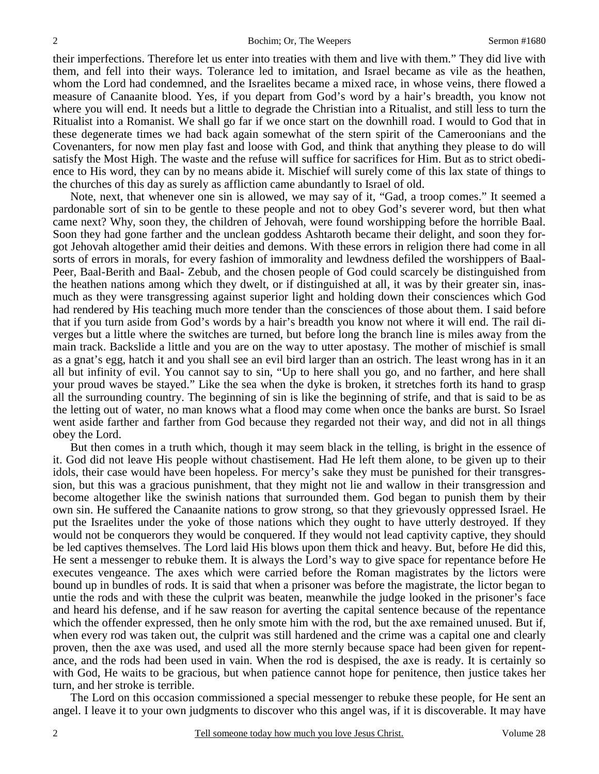their imperfections. Therefore let us enter into treaties with them and live with them." They did live with them, and fell into their ways. Tolerance led to imitation, and Israel became as vile as the heathen, whom the Lord had condemned, and the Israelites became a mixed race, in whose veins, there flowed a measure of Canaanite blood. Yes, if you depart from God's word by a hair's breadth, you know not where you will end. It needs but a little to degrade the Christian into a Ritualist, and still less to turn the Ritualist into a Romanist. We shall go far if we once start on the downhill road. I would to God that in these degenerate times we had back again somewhat of the stern spirit of the Cameroonians and the Covenanters, for now men play fast and loose with God, and think that anything they please to do will satisfy the Most High. The waste and the refuse will suffice for sacrifices for Him. But as to strict obedience to His word, they can by no means abide it. Mischief will surely come of this lax state of things to the churches of this day as surely as affliction came abundantly to Israel of old.

 Note, next, that whenever one sin is allowed, we may say of it, "Gad, a troop comes." It seemed a pardonable sort of sin to be gentle to these people and not to obey God's severer word, but then what came next? Why, soon they, the children of Jehovah, were found worshipping before the horrible Baal. Soon they had gone farther and the unclean goddess Ashtaroth became their delight, and soon they forgot Jehovah altogether amid their deities and demons. With these errors in religion there had come in all sorts of errors in morals, for every fashion of immorality and lewdness defiled the worshippers of Baal-Peer, Baal-Berith and Baal- Zebub, and the chosen people of God could scarcely be distinguished from the heathen nations among which they dwelt, or if distinguished at all, it was by their greater sin, inasmuch as they were transgressing against superior light and holding down their consciences which God had rendered by His teaching much more tender than the consciences of those about them. I said before that if you turn aside from God's words by a hair's breadth you know not where it will end. The rail diverges but a little where the switches are turned, but before long the branch line is miles away from the main track. Backslide a little and you are on the way to utter apostasy. The mother of mischief is small as a gnat's egg, hatch it and you shall see an evil bird larger than an ostrich. The least wrong has in it an all but infinity of evil. You cannot say to sin, "Up to here shall you go, and no farther, and here shall your proud waves be stayed." Like the sea when the dyke is broken, it stretches forth its hand to grasp all the surrounding country. The beginning of sin is like the beginning of strife, and that is said to be as the letting out of water, no man knows what a flood may come when once the banks are burst. So Israel went aside farther and farther from God because they regarded not their way, and did not in all things obey the Lord.

 But then comes in a truth which, though it may seem black in the telling, is bright in the essence of it. God did not leave His people without chastisement. Had He left them alone, to be given up to their idols, their case would have been hopeless. For mercy's sake they must be punished for their transgression, but this was a gracious punishment, that they might not lie and wallow in their transgression and become altogether like the swinish nations that surrounded them. God began to punish them by their own sin. He suffered the Canaanite nations to grow strong, so that they grievously oppressed Israel. He put the Israelites under the yoke of those nations which they ought to have utterly destroyed. If they would not be conquerors they would be conquered. If they would not lead captivity captive, they should be led captives themselves. The Lord laid His blows upon them thick and heavy. But, before He did this, He sent a messenger to rebuke them. It is always the Lord's way to give space for repentance before He executes vengeance. The axes which were carried before the Roman magistrates by the lictors were bound up in bundles of rods. It is said that when a prisoner was before the magistrate, the lictor began to untie the rods and with these the culprit was beaten, meanwhile the judge looked in the prisoner's face and heard his defense, and if he saw reason for averting the capital sentence because of the repentance which the offender expressed, then he only smote him with the rod, but the axe remained unused. But if, when every rod was taken out, the culprit was still hardened and the crime was a capital one and clearly proven, then the axe was used, and used all the more sternly because space had been given for repentance, and the rods had been used in vain. When the rod is despised, the axe is ready. It is certainly so with God, He waits to be gracious, but when patience cannot hope for penitence, then justice takes her turn, and her stroke is terrible.

 The Lord on this occasion commissioned a special messenger to rebuke these people, for He sent an angel. I leave it to your own judgments to discover who this angel was, if it is discoverable. It may have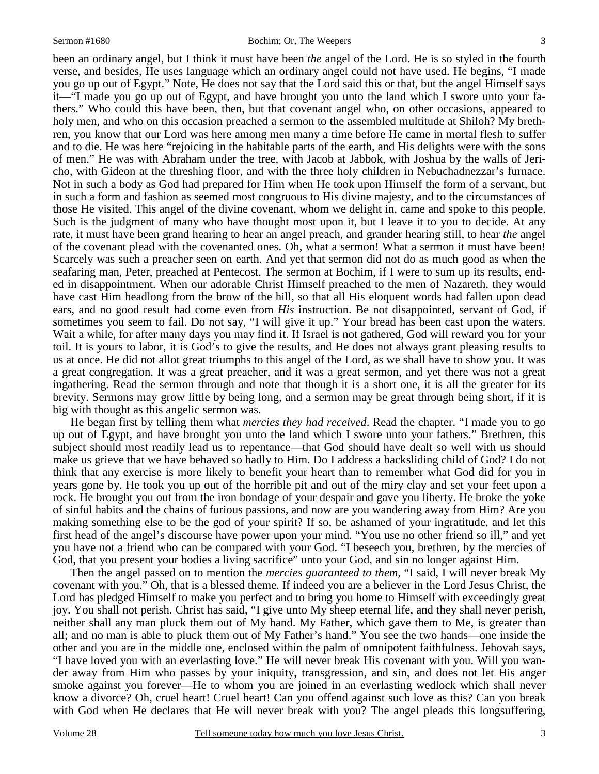been an ordinary angel, but I think it must have been *the* angel of the Lord. He is so styled in the fourth verse, and besides, He uses language which an ordinary angel could not have used. He begins, "I made you go up out of Egypt." Note, He does not say that the Lord said this or that, but the angel Himself says it—"I made you go up out of Egypt, and have brought you unto the land which I swore unto your fathers." Who could this have been, then, but that covenant angel who, on other occasions, appeared to holy men, and who on this occasion preached a sermon to the assembled multitude at Shiloh? My brethren, you know that our Lord was here among men many a time before He came in mortal flesh to suffer and to die. He was here "rejoicing in the habitable parts of the earth, and His delights were with the sons of men." He was with Abraham under the tree, with Jacob at Jabbok, with Joshua by the walls of Jericho, with Gideon at the threshing floor, and with the three holy children in Nebuchadnezzar's furnace. Not in such a body as God had prepared for Him when He took upon Himself the form of a servant, but in such a form and fashion as seemed most congruous to His divine majesty, and to the circumstances of those He visited. This angel of the divine covenant, whom we delight in, came and spoke to this people. Such is the judgment of many who have thought most upon it, but I leave it to you to decide. At any rate, it must have been grand hearing to hear an angel preach, and grander hearing still, to hear *the* angel of the covenant plead with the covenanted ones. Oh, what a sermon! What a sermon it must have been! Scarcely was such a preacher seen on earth. And yet that sermon did not do as much good as when the seafaring man, Peter, preached at Pentecost. The sermon at Bochim, if I were to sum up its results, ended in disappointment. When our adorable Christ Himself preached to the men of Nazareth, they would have cast Him headlong from the brow of the hill, so that all His eloquent words had fallen upon dead ears, and no good result had come even from *His* instruction. Be not disappointed, servant of God, if sometimes you seem to fail. Do not say, "I will give it up." Your bread has been cast upon the waters. Wait a while, for after many days you may find it. If Israel is not gathered, God will reward you for your toil. It is yours to labor, it is God's to give the results, and He does not always grant pleasing results to us at once. He did not allot great triumphs to this angel of the Lord, as we shall have to show you. It was a great congregation. It was a great preacher, and it was a great sermon, and yet there was not a great ingathering. Read the sermon through and note that though it is a short one, it is all the greater for its brevity. Sermons may grow little by being long, and a sermon may be great through being short, if it is big with thought as this angelic sermon was.

 He began first by telling them what *mercies they had received*. Read the chapter. "I made you to go up out of Egypt, and have brought you unto the land which I swore unto your fathers." Brethren, this subject should most readily lead us to repentance—that God should have dealt so well with us should make us grieve that we have behaved so badly to Him. Do I address a backsliding child of God? I do not think that any exercise is more likely to benefit your heart than to remember what God did for you in years gone by. He took you up out of the horrible pit and out of the miry clay and set your feet upon a rock. He brought you out from the iron bondage of your despair and gave you liberty. He broke the yoke of sinful habits and the chains of furious passions, and now are you wandering away from Him? Are you making something else to be the god of your spirit? If so, be ashamed of your ingratitude, and let this first head of the angel's discourse have power upon your mind. "You use no other friend so ill," and yet you have not a friend who can be compared with your God. "I beseech you, brethren, by the mercies of God, that you present your bodies a living sacrifice" unto your God, and sin no longer against Him.

 Then the angel passed on to mention the *mercies guaranteed to them,* "I said, I will never break My covenant with you." Oh, that is a blessed theme. If indeed you are a believer in the Lord Jesus Christ, the Lord has pledged Himself to make you perfect and to bring you home to Himself with exceedingly great joy. You shall not perish. Christ has said, "I give unto My sheep eternal life, and they shall never perish, neither shall any man pluck them out of My hand. My Father, which gave them to Me, is greater than all; and no man is able to pluck them out of My Father's hand." You see the two hands—one inside the other and you are in the middle one, enclosed within the palm of omnipotent faithfulness. Jehovah says, "I have loved you with an everlasting love." He will never break His covenant with you. Will you wander away from Him who passes by your iniquity, transgression, and sin, and does not let His anger smoke against you forever—He to whom you are joined in an everlasting wedlock which shall never know a divorce? Oh, cruel heart! Cruel heart! Can you offend against such love as this? Can you break with God when He declares that He will never break with you? The angel pleads this longsuffering,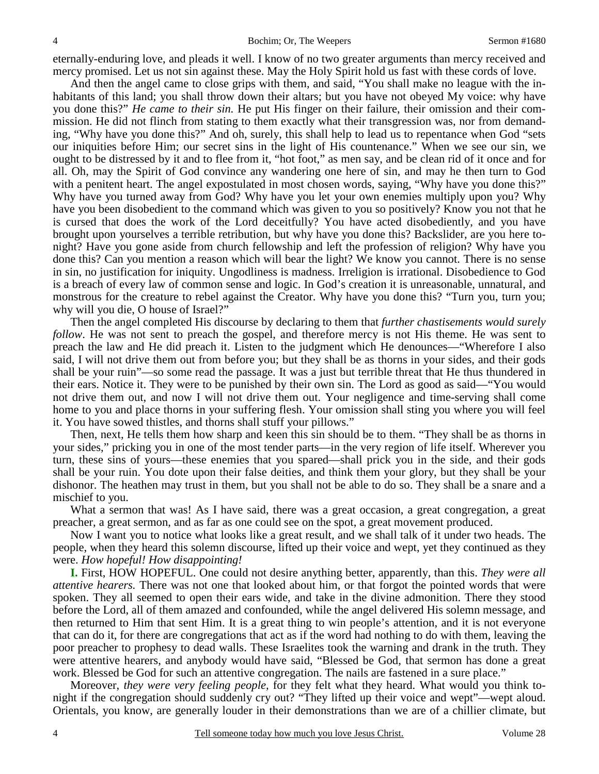eternally-enduring love, and pleads it well. I know of no two greater arguments than mercy received and mercy promised. Let us not sin against these. May the Holy Spirit hold us fast with these cords of love.

 And then the angel came to close grips with them, and said, "You shall make no league with the inhabitants of this land; you shall throw down their altars; but you have not obeyed My voice: why have you done this?" *He came to their sin.* He put His finger on their failure, their omission and their commission. He did not flinch from stating to them exactly what their transgression was, nor from demanding, "Why have you done this?" And oh, surely, this shall help to lead us to repentance when God "sets our iniquities before Him; our secret sins in the light of His countenance." When we see our sin, we ought to be distressed by it and to flee from it, "hot foot," as men say, and be clean rid of it once and for all. Oh, may the Spirit of God convince any wandering one here of sin, and may he then turn to God with a penitent heart. The angel expostulated in most chosen words, saying, "Why have you done this?" Why have you turned away from God? Why have you let your own enemies multiply upon you? Why have you been disobedient to the command which was given to you so positively? Know you not that he is cursed that does the work of the Lord deceitfully? You have acted disobediently, and you have brought upon yourselves a terrible retribution, but why have you done this? Backslider, are you here tonight? Have you gone aside from church fellowship and left the profession of religion? Why have you done this? Can you mention a reason which will bear the light? We know you cannot. There is no sense in sin, no justification for iniquity. Ungodliness is madness. Irreligion is irrational. Disobedience to God is a breach of every law of common sense and logic. In God's creation it is unreasonable, unnatural, and monstrous for the creature to rebel against the Creator. Why have you done this? "Turn you, turn you; why will you die, O house of Israel?"

 Then the angel completed His discourse by declaring to them that *further chastisements would surely follow*. He was not sent to preach the gospel, and therefore mercy is not His theme. He was sent to preach the law and He did preach it. Listen to the judgment which He denounces—"Wherefore I also said, I will not drive them out from before you; but they shall be as thorns in your sides, and their gods shall be your ruin"—so some read the passage. It was a just but terrible threat that He thus thundered in their ears. Notice it. They were to be punished by their own sin. The Lord as good as said—"You would not drive them out, and now I will not drive them out. Your negligence and time-serving shall come home to you and place thorns in your suffering flesh. Your omission shall sting you where you will feel it. You have sowed thistles, and thorns shall stuff your pillows."

 Then, next, He tells them how sharp and keen this sin should be to them. "They shall be as thorns in your sides," pricking you in one of the most tender parts—in the very region of life itself. Wherever you turn, these sins of yours—these enemies that you spared—shall prick you in the side, and their gods shall be your ruin. You dote upon their false deities, and think them your glory, but they shall be your dishonor. The heathen may trust in them, but you shall not be able to do so. They shall be a snare and a mischief to you.

 What a sermon that was! As I have said, there was a great occasion, a great congregation, a great preacher, a great sermon, and as far as one could see on the spot, a great movement produced.

 Now I want you to notice what looks like a great result, and we shall talk of it under two heads. The people, when they heard this solemn discourse, lifted up their voice and wept, yet they continued as they were. *How hopeful! How disappointing!*

**I.** First, HOW HOPEFUL. One could not desire anything better, apparently, than this. *They were all attentive hearers.* There was not one that looked about him, or that forgot the pointed words that were spoken. They all seemed to open their ears wide, and take in the divine admonition. There they stood before the Lord, all of them amazed and confounded, while the angel delivered His solemn message, and then returned to Him that sent Him. It is a great thing to win people's attention, and it is not everyone that can do it, for there are congregations that act as if the word had nothing to do with them, leaving the poor preacher to prophesy to dead walls. These Israelites took the warning and drank in the truth. They were attentive hearers, and anybody would have said, "Blessed be God, that sermon has done a great work. Blessed be God for such an attentive congregation. The nails are fastened in a sure place."

 Moreover, *they were very feeling people,* for they felt what they heard. What would you think tonight if the congregation should suddenly cry out? "They lifted up their voice and wept"—wept aloud. Orientals, you know, are generally louder in their demonstrations than we are of a chillier climate, but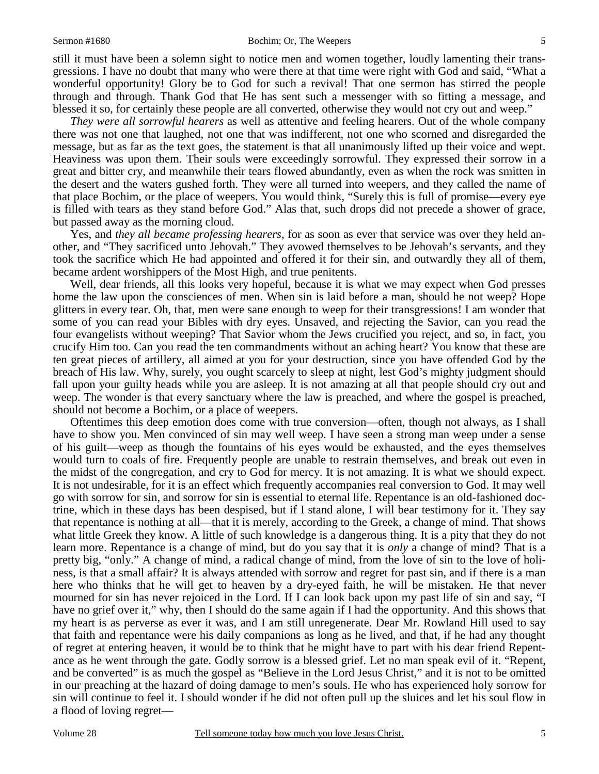still it must have been a solemn sight to notice men and women together, loudly lamenting their transgressions. I have no doubt that many who were there at that time were right with God and said, "What a wonderful opportunity! Glory be to God for such a revival! That one sermon has stirred the people through and through. Thank God that He has sent such a messenger with so fitting a message, and blessed it so, for certainly these people are all converted, otherwise they would not cry out and weep."

*They were all sorrowful hearers* as well as attentive and feeling hearers. Out of the whole company there was not one that laughed, not one that was indifferent, not one who scorned and disregarded the message, but as far as the text goes, the statement is that all unanimously lifted up their voice and wept. Heaviness was upon them. Their souls were exceedingly sorrowful. They expressed their sorrow in a great and bitter cry, and meanwhile their tears flowed abundantly, even as when the rock was smitten in the desert and the waters gushed forth. They were all turned into weepers, and they called the name of that place Bochim, or the place of weepers. You would think, "Surely this is full of promise—every eye is filled with tears as they stand before God." Alas that, such drops did not precede a shower of grace, but passed away as the morning cloud.

 Yes, and *they all became professing hearers,* for as soon as ever that service was over they held another, and "They sacrificed unto Jehovah." They avowed themselves to be Jehovah's servants, and they took the sacrifice which He had appointed and offered it for their sin, and outwardly they all of them, became ardent worshippers of the Most High, and true penitents.

 Well, dear friends, all this looks very hopeful, because it is what we may expect when God presses home the law upon the consciences of men. When sin is laid before a man, should he not weep? Hope glitters in every tear. Oh, that, men were sane enough to weep for their transgressions! I am wonder that some of you can read your Bibles with dry eyes. Unsaved, and rejecting the Savior, can you read the four evangelists without weeping? That Savior whom the Jews crucified you reject, and so, in fact, you crucify Him too. Can you read the ten commandments without an aching heart? You know that these are ten great pieces of artillery, all aimed at you for your destruction, since you have offended God by the breach of His law. Why, surely, you ought scarcely to sleep at night, lest God's mighty judgment should fall upon your guilty heads while you are asleep. It is not amazing at all that people should cry out and weep. The wonder is that every sanctuary where the law is preached, and where the gospel is preached, should not become a Bochim, or a place of weepers.

 Oftentimes this deep emotion does come with true conversion—often, though not always, as I shall have to show you. Men convinced of sin may well weep. I have seen a strong man weep under a sense of his guilt—weep as though the fountains of his eyes would be exhausted, and the eyes themselves would turn to coals of fire. Frequently people are unable to restrain themselves, and break out even in the midst of the congregation, and cry to God for mercy. It is not amazing. It is what we should expect. It is not undesirable, for it is an effect which frequently accompanies real conversion to God. It may well go with sorrow for sin, and sorrow for sin is essential to eternal life. Repentance is an old-fashioned doctrine, which in these days has been despised, but if I stand alone, I will bear testimony for it. They say that repentance is nothing at all—that it is merely, according to the Greek, a change of mind. That shows what little Greek they know. A little of such knowledge is a dangerous thing. It is a pity that they do not learn more. Repentance is a change of mind, but do you say that it is *only* a change of mind? That is a pretty big, "only." A change of mind, a radical change of mind, from the love of sin to the love of holiness, is that a small affair? It is always attended with sorrow and regret for past sin, and if there is a man here who thinks that he will get to heaven by a dry-eyed faith, he will be mistaken. He that never mourned for sin has never rejoiced in the Lord. If I can look back upon my past life of sin and say, "I have no grief over it," why, then I should do the same again if I had the opportunity. And this shows that my heart is as perverse as ever it was, and I am still unregenerate. Dear Mr. Rowland Hill used to say that faith and repentance were his daily companions as long as he lived, and that, if he had any thought of regret at entering heaven, it would be to think that he might have to part with his dear friend Repentance as he went through the gate. Godly sorrow is a blessed grief. Let no man speak evil of it. "Repent, and be converted" is as much the gospel as "Believe in the Lord Jesus Christ," and it is not to be omitted in our preaching at the hazard of doing damage to men's souls. He who has experienced holy sorrow for sin will continue to feel it. I should wonder if he did not often pull up the sluices and let his soul flow in a flood of loving regret—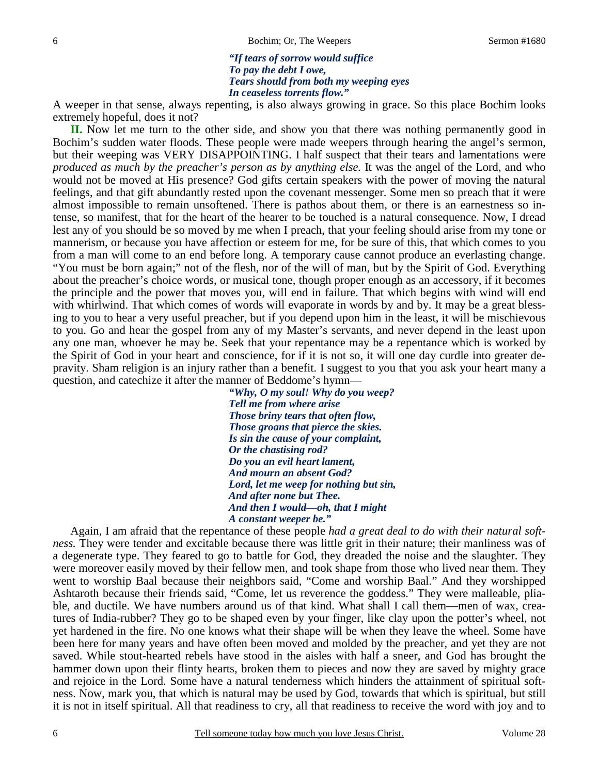#### *"If tears of sorrow would suffice To pay the debt I owe, Tears should from both my weeping eyes In ceaseless torrents flow."*

A weeper in that sense, always repenting, is also always growing in grace. So this place Bochim looks extremely hopeful, does it not?

 **II.** Now let me turn to the other side, and show you that there was nothing permanently good in Bochim's sudden water floods. These people were made weepers through hearing the angel's sermon, but their weeping was VERY DISAPPOINTING. I half suspect that their tears and lamentations were *produced as much by the preacher's person as by anything else.* It was the angel of the Lord, and who would not be moved at His presence? God gifts certain speakers with the power of moving the natural feelings, and that gift abundantly rested upon the covenant messenger. Some men so preach that it were almost impossible to remain unsoftened. There is pathos about them, or there is an earnestness so intense, so manifest, that for the heart of the hearer to be touched is a natural consequence. Now, I dread lest any of you should be so moved by me when I preach, that your feeling should arise from my tone or mannerism, or because you have affection or esteem for me, for be sure of this, that which comes to you from a man will come to an end before long. A temporary cause cannot produce an everlasting change. "You must be born again;" not of the flesh, nor of the will of man, but by the Spirit of God. Everything about the preacher's choice words, or musical tone, though proper enough as an accessory, if it becomes the principle and the power that moves you, will end in failure. That which begins with wind will end with whirlwind. That which comes of words will evaporate in words by and by. It may be a great blessing to you to hear a very useful preacher, but if you depend upon him in the least, it will be mischievous to you. Go and hear the gospel from any of my Master's servants, and never depend in the least upon any one man, whoever he may be. Seek that your repentance may be a repentance which is worked by the Spirit of God in your heart and conscience, for if it is not so, it will one day curdle into greater depravity. Sham religion is an injury rather than a benefit. I suggest to you that you ask your heart many a question, and catechize it after the manner of Beddome's hymn—

> *"Why, O my soul! Why do you weep? Tell me from where arise Those briny tears that often flow, Those groans that pierce the skies. Is sin the cause of your complaint, Or the chastising rod? Do you an evil heart lament, And mourn an absent God? Lord, let me weep for nothing but sin, And after none but Thee. And then I would—oh, that I might A constant weeper be."*

 Again, I am afraid that the repentance of these people *had a great deal to do with their natural softness.* They were tender and excitable because there was little grit in their nature; their manliness was of a degenerate type. They feared to go to battle for God, they dreaded the noise and the slaughter. They were moreover easily moved by their fellow men, and took shape from those who lived near them. They went to worship Baal because their neighbors said, "Come and worship Baal." And they worshipped Ashtaroth because their friends said, "Come, let us reverence the goddess." They were malleable, pliable, and ductile. We have numbers around us of that kind. What shall I call them—men of wax, creatures of India-rubber? They go to be shaped even by your finger, like clay upon the potter's wheel, not yet hardened in the fire. No one knows what their shape will be when they leave the wheel. Some have been here for many years and have often been moved and molded by the preacher, and yet they are not saved. While stout-hearted rebels have stood in the aisles with half a sneer, and God has brought the hammer down upon their flinty hearts, broken them to pieces and now they are saved by mighty grace and rejoice in the Lord. Some have a natural tenderness which hinders the attainment of spiritual softness. Now, mark you, that which is natural may be used by God, towards that which is spiritual, but still it is not in itself spiritual. All that readiness to cry, all that readiness to receive the word with joy and to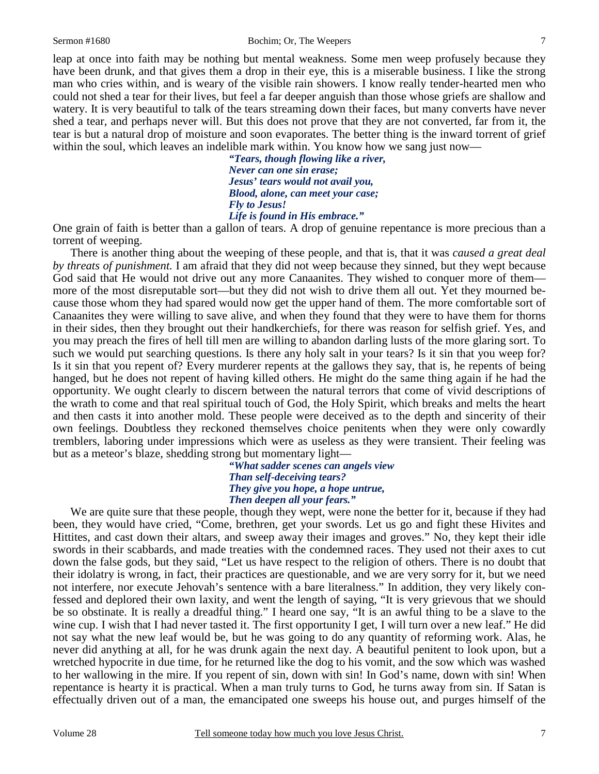leap at once into faith may be nothing but mental weakness. Some men weep profusely because they have been drunk, and that gives them a drop in their eye, this is a miserable business. I like the strong man who cries within, and is weary of the visible rain showers. I know really tender-hearted men who could not shed a tear for their lives, but feel a far deeper anguish than those whose griefs are shallow and watery. It is very beautiful to talk of the tears streaming down their faces, but many converts have never shed a tear, and perhaps never will. But this does not prove that they are not converted, far from it, the tear is but a natural drop of moisture and soon evaporates. The better thing is the inward torrent of grief within the soul, which leaves an indelible mark within. You know how we sang just now—

> *"Tears, though flowing like a river, Never can one sin erase; Jesus' tears would not avail you, Blood, alone, can meet your case; Fly to Jesus! Life is found in His embrace."*

One grain of faith is better than a gallon of tears. A drop of genuine repentance is more precious than a torrent of weeping.

 There is another thing about the weeping of these people, and that is, that it was *caused a great deal by threats of punishment.* I am afraid that they did not weep because they sinned, but they wept because God said that He would not drive out any more Canaanites. They wished to conquer more of them more of the most disreputable sort—but they did not wish to drive them all out. Yet they mourned because those whom they had spared would now get the upper hand of them. The more comfortable sort of Canaanites they were willing to save alive, and when they found that they were to have them for thorns in their sides, then they brought out their handkerchiefs, for there was reason for selfish grief. Yes, and you may preach the fires of hell till men are willing to abandon darling lusts of the more glaring sort. To such we would put searching questions. Is there any holy salt in your tears? Is it sin that you weep for? Is it sin that you repent of? Every murderer repents at the gallows they say, that is, he repents of being hanged, but he does not repent of having killed others. He might do the same thing again if he had the opportunity. We ought clearly to discern between the natural terrors that come of vivid descriptions of the wrath to come and that real spiritual touch of God, the Holy Spirit, which breaks and melts the heart and then casts it into another mold. These people were deceived as to the depth and sincerity of their own feelings. Doubtless they reckoned themselves choice penitents when they were only cowardly tremblers, laboring under impressions which were as useless as they were transient. Their feeling was but as a meteor's blaze, shedding strong but momentary light—

*"What sadder scenes can angels view Than self-deceiving tears? They give you hope, a hope untrue, Then deepen all your fears."* 

 We are quite sure that these people, though they wept, were none the better for it, because if they had been, they would have cried, "Come, brethren, get your swords. Let us go and fight these Hivites and Hittites, and cast down their altars, and sweep away their images and groves." No, they kept their idle swords in their scabbards, and made treaties with the condemned races. They used not their axes to cut down the false gods, but they said, "Let us have respect to the religion of others. There is no doubt that their idolatry is wrong, in fact, their practices are questionable, and we are very sorry for it, but we need not interfere, nor execute Jehovah's sentence with a bare literalness." In addition, they very likely confessed and deplored their own laxity, and went the length of saying, "It is very grievous that we should be so obstinate. It is really a dreadful thing." I heard one say, "It is an awful thing to be a slave to the wine cup. I wish that I had never tasted it. The first opportunity I get, I will turn over a new leaf." He did not say what the new leaf would be, but he was going to do any quantity of reforming work. Alas, he never did anything at all, for he was drunk again the next day. A beautiful penitent to look upon, but a wretched hypocrite in due time, for he returned like the dog to his vomit, and the sow which was washed to her wallowing in the mire. If you repent of sin, down with sin! In God's name, down with sin! When repentance is hearty it is practical. When a man truly turns to God, he turns away from sin. If Satan is effectually driven out of a man, the emancipated one sweeps his house out, and purges himself of the